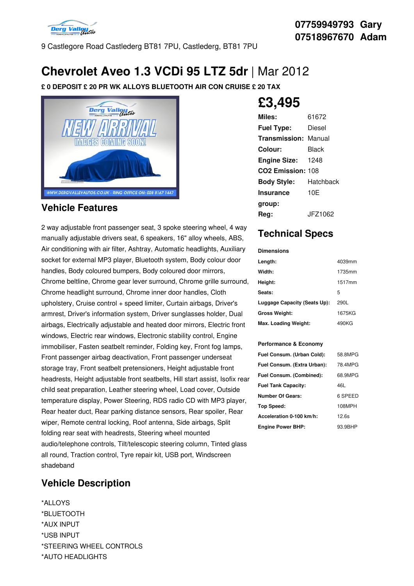

9 Castlegore Road Castlederg BT81 7PU, Castlederg, BT81 7PU

# **Chevrolet Aveo 1.3 VCDi 95 LTZ 5dr** | Mar 2012

**£ 0 DEPOSIT £ 20 PR WK ALLOYS BLUETOOTH AIR CON CRUISE £ 20 TAX**



### **Vehicle Features**

2 way adjustable front passenger seat, 3 spoke steering wheel, 4 way manually adjustable drivers seat, 6 speakers, 16" alloy wheels, ABS, Air conditioning with air filter, Ashtray, Automatic headlights, Auxiliary socket for external MP3 player, Bluetooth system, Body colour door handles, Body coloured bumpers, Body coloured door mirrors, Chrome beltline, Chrome gear lever surround, Chrome grille surround, Chrome headlight surround, Chrome inner door handles, Cloth upholstery, Cruise control + speed limiter, Curtain airbags, Driver's armrest, Driver's information system, Driver sunglasses holder, Dual airbags, Electrically adjustable and heated door mirrors, Electric front windows, Electric rear windows, Electronic stability control, Engine immobiliser, Fasten seatbelt reminder, Folding key, Front fog lamps, Front passenger airbag deactivation, Front passenger underseat storage tray, Front seatbelt pretensioners, Height adjustable front headrests, Height adjustable front seatbelts, Hill start assist, Isofix rear child seat preparation, Leather steering wheel, Load cover, Outside temperature display, Power Steering, RDS radio CD with MP3 player, Rear heater duct, Rear parking distance sensors, Rear spoiler, Rear wiper, Remote central locking, Roof antenna, Side airbags, Split folding rear seat with headrests, Steering wheel mounted audio/telephone controls, Tilt/telescopic steering column, Tinted glass all round, Traction control, Tyre repair kit, USB port, Windscreen shadeband

### **Vehicle Description**

\*ALLOYS \*BLUETOOTH \*AUX INPUT \*USB INPUT \*STEERING WHEEL CONTROLS \*AUTO HEADLIGHTS

# **£3,495**

| Miles:                        | 61672     |
|-------------------------------|-----------|
| <b>Fuel Type:</b>             | Diesel    |
| <b>Transmission: Manual</b>   |           |
| Colour:                       | Black     |
| <b>Engine Size:</b>           | 1248      |
| CO <sub>2</sub> Emission: 108 |           |
| <b>Body Style:</b>            | Hatchback |
| <b>Insurance</b>              | 10E       |
| group:                        |           |
| Rea:                          | JFZ1062   |

## **Technical Specs**

| <b>Dimensions</b>            |        |
|------------------------------|--------|
| Length:                      | 4039mm |
| Width:                       | 1735mm |
| Height:                      | 1517mm |
| Seats:                       | 5      |
| Luggage Capacity (Seats Up): | 290L   |
| <b>Gross Weight:</b>         | 1675KG |
| Max. Loading Weight:         | 490KG  |

#### **Performance & Economy**

| Fuel Consum. (Urban Cold):  | 58.8MPG |
|-----------------------------|---------|
| Fuel Consum. (Extra Urban): | 78.4MPG |
| Fuel Consum. (Combined):    | 68.9MPG |
| <b>Fuel Tank Capacity:</b>  | 46L     |
| <b>Number Of Gears:</b>     | 6 SPEED |
| <b>Top Speed:</b>           | 108MPH  |
| Acceleration 0-100 km/h:    | 12.6s   |
| <b>Engine Power BHP:</b>    | 93.9BHP |